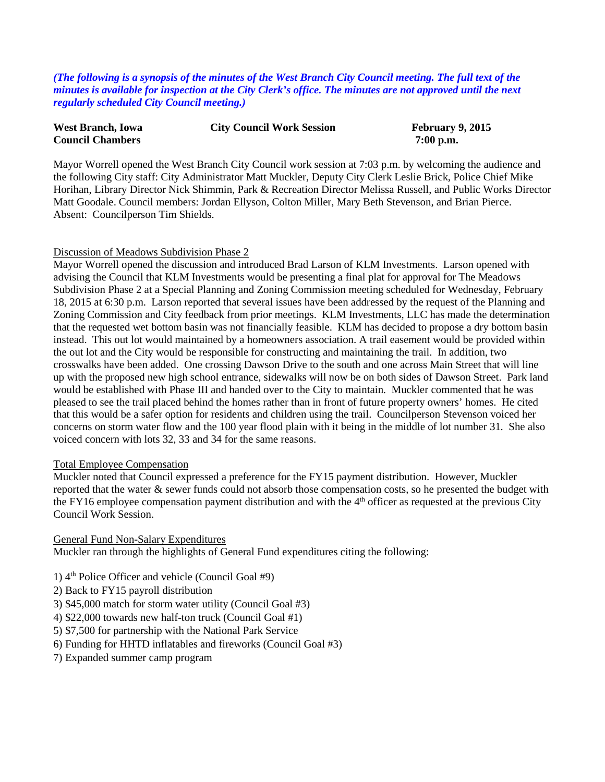*(The following is a synopsis of the minutes of the West Branch City Council meeting. The full text of the minutes is available for inspection at the City Clerk's office. The minutes are not approved until the next regularly scheduled City Council meeting.)*

| <b>West Branch, Iowa</b> | <b>City Council Work Session</b> | <b>February 9, 2015</b> |
|--------------------------|----------------------------------|-------------------------|
| <b>Council Chambers</b>  |                                  | $7:00$ p.m.             |

Mayor Worrell opened the West Branch City Council work session at 7:03 p.m. by welcoming the audience and the following City staff: City Administrator Matt Muckler, Deputy City Clerk Leslie Brick, Police Chief Mike Horihan, Library Director Nick Shimmin, Park & Recreation Director Melissa Russell, and Public Works Director Matt Goodale. Council members: Jordan Ellyson, Colton Miller, Mary Beth Stevenson, and Brian Pierce. Absent: Councilperson Tim Shields.

#### Discussion of Meadows Subdivision Phase 2

Mayor Worrell opened the discussion and introduced Brad Larson of KLM Investments. Larson opened with advising the Council that KLM Investments would be presenting a final plat for approval for The Meadows Subdivision Phase 2 at a Special Planning and Zoning Commission meeting scheduled for Wednesday, February 18, 2015 at 6:30 p.m. Larson reported that several issues have been addressed by the request of the Planning and Zoning Commission and City feedback from prior meetings. KLM Investments, LLC has made the determination that the requested wet bottom basin was not financially feasible. KLM has decided to propose a dry bottom basin instead. This out lot would maintained by a homeowners association. A trail easement would be provided within the out lot and the City would be responsible for constructing and maintaining the trail. In addition, two crosswalks have been added. One crossing Dawson Drive to the south and one across Main Street that will line up with the proposed new high school entrance, sidewalks will now be on both sides of Dawson Street. Park land would be established with Phase III and handed over to the City to maintain. Muckler commented that he was pleased to see the trail placed behind the homes rather than in front of future property owners' homes. He cited that this would be a safer option for residents and children using the trail. Councilperson Stevenson voiced her concerns on storm water flow and the 100 year flood plain with it being in the middle of lot number 31. She also voiced concern with lots 32, 33 and 34 for the same reasons.

#### Total Employee Compensation

Muckler noted that Council expressed a preference for the FY15 payment distribution. However, Muckler reported that the water & sewer funds could not absorb those compensation costs, so he presented the budget with the FY16 employee compensation payment distribution and with the 4th officer as requested at the previous City Council Work Session.

General Fund Non-Salary Expenditures

Muckler ran through the highlights of General Fund expenditures citing the following:

- 1)  $4<sup>th</sup>$  Police Officer and vehicle (Council Goal #9)
- 2) Back to FY15 payroll distribution
- 3) \$45,000 match for storm water utility (Council Goal #3)
- 4) \$22,000 towards new half-ton truck (Council Goal #1)
- 5) \$7,500 for partnership with the National Park Service
- 6) Funding for HHTD inflatables and fireworks (Council Goal #3)
- 7) Expanded summer camp program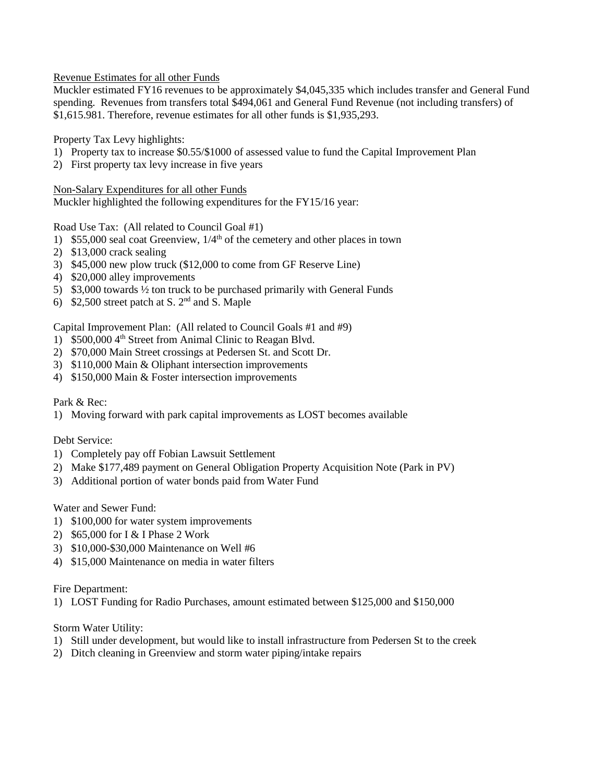Revenue Estimates for all other Funds

Muckler estimated FY16 revenues to be approximately \$4,045,335 which includes transfer and General Fund spending. Revenues from transfers total \$494,061 and General Fund Revenue (not including transfers) of \$1,615.981. Therefore, revenue estimates for all other funds is \$1,935,293.

Property Tax Levy highlights:

- 1) Property tax to increase \$0.55/\$1000 of assessed value to fund the Capital Improvement Plan
- 2) First property tax levy increase in five years

Non-Salary Expenditures for all other Funds

Muckler highlighted the following expenditures for the FY15/16 year:

Road Use Tax: (All related to Council Goal #1)

- 1) \$55,000 seal coat Greenview,  $1/4<sup>th</sup>$  of the cemetery and other places in town
- 2) \$13,000 crack sealing
- 3) \$45,000 new plow truck (\$12,000 to come from GF Reserve Line)
- 4) \$20,000 alley improvements
- 5) \$3,000 towards ½ ton truck to be purchased primarily with General Funds
- 6) \$2,500 street patch at S. 2nd and S. Maple

Capital Improvement Plan: (All related to Council Goals #1 and #9)

- 1) \$500,000 4<sup>th</sup> Street from Animal Clinic to Reagan Blvd.
- 2) \$70,000 Main Street crossings at Pedersen St. and Scott Dr.
- 3) \$110,000 Main & Oliphant intersection improvements
- 4) \$150,000 Main & Foster intersection improvements

# Park & Rec:

1) Moving forward with park capital improvements as LOST becomes available

## Debt Service:

- 1) Completely pay off Fobian Lawsuit Settlement
- 2) Make \$177,489 payment on General Obligation Property Acquisition Note (Park in PV)
- 3) Additional portion of water bonds paid from Water Fund

Water and Sewer Fund:

- 1) \$100,000 for water system improvements
- 2) \$65,000 for I & I Phase 2 Work
- 3) \$10,000-\$30,000 Maintenance on Well #6
- 4) \$15,000 Maintenance on media in water filters

## Fire Department:

1) LOST Funding for Radio Purchases, amount estimated between \$125,000 and \$150,000

## Storm Water Utility:

- 1) Still under development, but would like to install infrastructure from Pedersen St to the creek
- 2) Ditch cleaning in Greenview and storm water piping/intake repairs